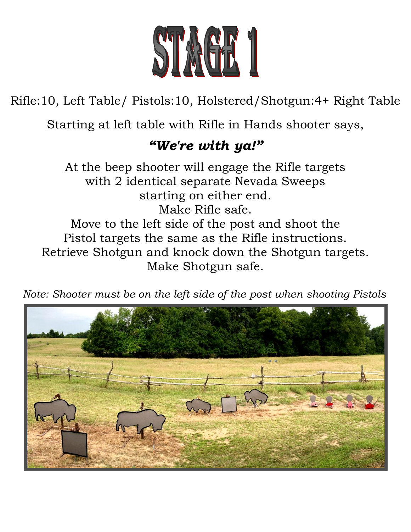

Rifle:10, Left Table/ Pistols:10, Holstered/Shotgun:4+ Right Table

Starting at left table with Rifle in Hands shooter says,

## *"We're with ya!"*

At the beep shooter will engage the Rifle targets with 2 identical separate Nevada Sweeps starting on either end. Make Rifle safe. Move to the left side of the post and shoot the Pistol targets the same as the Rifle instructions. Retrieve Shotgun and knock down the Shotgun targets. Make Shotgun safe.

 *Note: Shooter must be on the left side of the post when shooting Pistols*

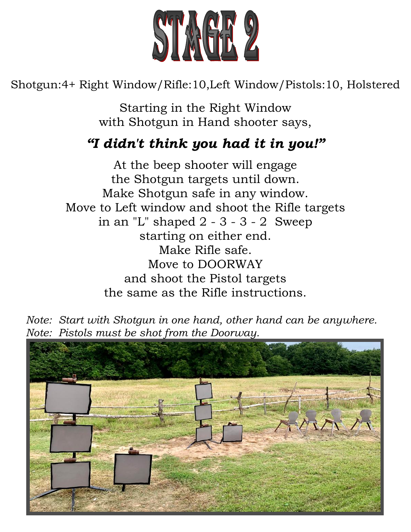![](_page_1_Picture_0.jpeg)

Shotgun:4+ Right Window/Rifle:10,Left Window/Pistols:10, Holstered

Starting in the Right Window with Shotgun in Hand shooter says,

## *"I didn't think you had it in you!"*

At the beep shooter will engage the Shotgun targets until down. Make Shotgun safe in any window. Move to Left window and shoot the Rifle targets in an "L" shaped  $2 - 3 - 3 - 2$  Sweep starting on either end. Make Rifle safe. Move to DOORWAY and shoot the Pistol targets the same as the Rifle instructions.

 *Note: Start with Shotgun in one hand, other hand can be anywhere. Note: Pistols must be shot from the Doorway.*

![](_page_1_Picture_6.jpeg)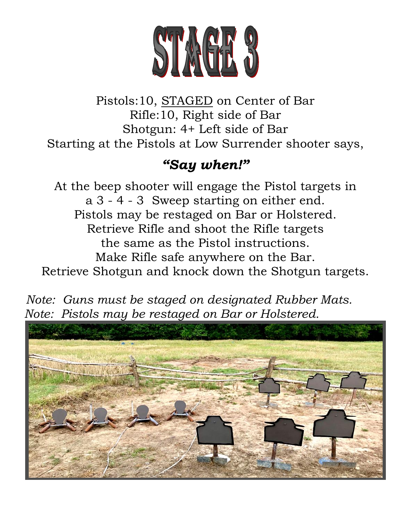![](_page_2_Picture_0.jpeg)

Pistols:10, STAGED on Center of Bar Rifle:10, Right side of Bar Shotgun: 4+ Left side of Bar Starting at the Pistols at Low Surrender shooter says,

## *"Say when!"*

At the beep shooter will engage the Pistol targets in a 3 - 4 - 3 Sweep starting on either end. Pistols may be restaged on Bar or Holstered. Retrieve Rifle and shoot the Rifle targets the same as the Pistol instructions. Make Rifle safe anywhere on the Bar. Retrieve Shotgun and knock down the Shotgun targets.

![](_page_2_Picture_4.jpeg)

![](_page_2_Picture_5.jpeg)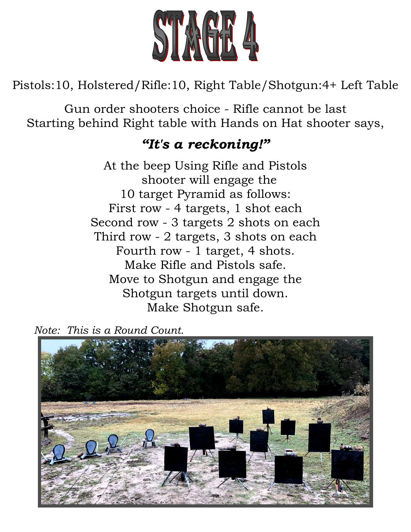![](_page_3_Picture_0.jpeg)

Pistols:10, Holstered/Rifle:10, Right Table/Shotgun:4+ Left Table

Gun order shooters choice - Rifle cannot be last Starting behind Right table with Hands on Hat shooter says,

#### *"It's a reckoning!"*

At the beep Using Rifle and Pistols shooter will engage the 10 target Pyramid as follows: First row - 4 targets, 1 shot each Second row - 3 targets 2 shots on each Third row - 2 targets, 3 shots on each Fourth row - 1 target, 4 shots. Make Rifle and Pistols safe. Move to Shotgun and engage the Shotgun targets until down. Make Shotgun safe.

*Note: This is a Round Count.*

![](_page_3_Picture_6.jpeg)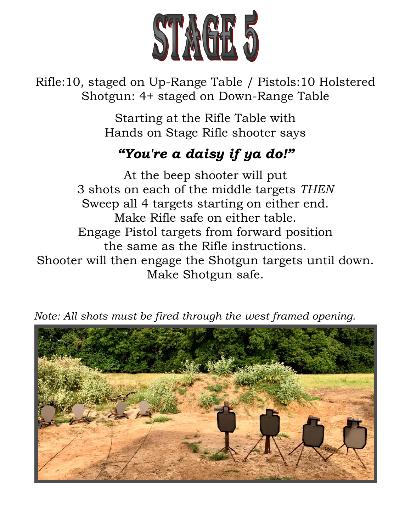![](_page_4_Picture_0.jpeg)

Rifle:10, staged on Up-Range Table / Pistols:10 Holstered Shotgun: 4+ staged on Down-Range Table

> Starting at the Rifle Table with Hands on Stage Rifle shooter says

# *"You're a daisy if ya do!"*

At the beep shooter will put 3 shots on each of the middle targets *THEN* Sweep all 4 targets starting on either end. Make Rifle safe on either table. Engage Pistol targets from forward position the same as the Rifle instructions. Shooter will then engage the Shotgun targets until down. Make Shotgun safe.

![](_page_4_Picture_5.jpeg)

*Note: All shots must be fired through the west framed opening.*